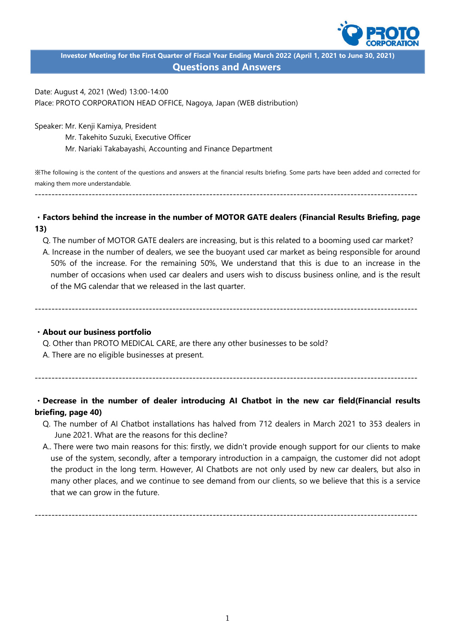

**Investor Meeting for the First Quarter of Fiscal Year Ending March 2022 (April 1, 2021 to June 30, 2021) Questions and Answers**

Date: August 4, 2021 (Wed) 13:00-14:00 Place: PROTO CORPORATION HEAD OFFICE, Nagoya, Japan (WEB distribution)

Speaker: Mr. Kenji Kamiya, President

Mr. Takehito Suzuki, Executive Officer

Mr. Nariaki Takabayashi, Accounting and Finance Department

※The following is the content of the questions and answers at the financial results briefing. Some parts have been added and corrected for making them more understandable.

------------------------------------------------------------------------------------------------------------------

# ・**Factors behind the increase in the number of MOTOR GATE dealers (Financial Results Briefing, page 13)**

- Q. The number of MOTOR GATE dealers are increasing, but is this related to a booming used car market?
- A. Increase in the number of dealers, we see the buoyant used car market as being responsible for around 50% of the increase. For the remaining 50%, We understand that this is due to an increase in the number of occasions when used car dealers and users wish to discuss business online, and is the result of the MG calendar that we released in the last quarter.

------------------------------------------------------------------------------------------------------------------

### ・**About our business portfolio**

Q. Other than PROTO MEDICAL CARE, are there any other businesses to be sold?

A. There are no eligible businesses at present.

------------------------------------------------------------------------------------------------------------------

# ・**Decrease in the number of dealer introducing AI Chatbot in the new car field(Financial results briefing, page 40)**

- Q. The number of AI Chatbot installations has halved from 712 dealers in March 2021 to 353 dealers in June 2021. What are the reasons for this decline?
- A.. There were two main reasons for this: firstly, we didn't provide enough support for our clients to make use of the system, secondly, after a temporary introduction in a campaign, the customer did not adopt the product in the long term. However, AI Chatbots are not only used by new car dealers, but also in many other places, and we continue to see demand from our clients, so we believe that this is a service that we can grow in the future.

------------------------------------------------------------------------------------------------------------------